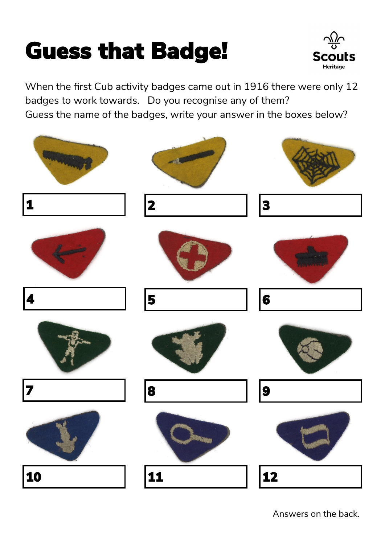## Guess that Badge!



When the first Cub activity badges came out in 1916 there were only 12 badges to work towards. Do you recognise any of them? Guess the name of the badges, write your answer in the boxes below?



Answers on the back.